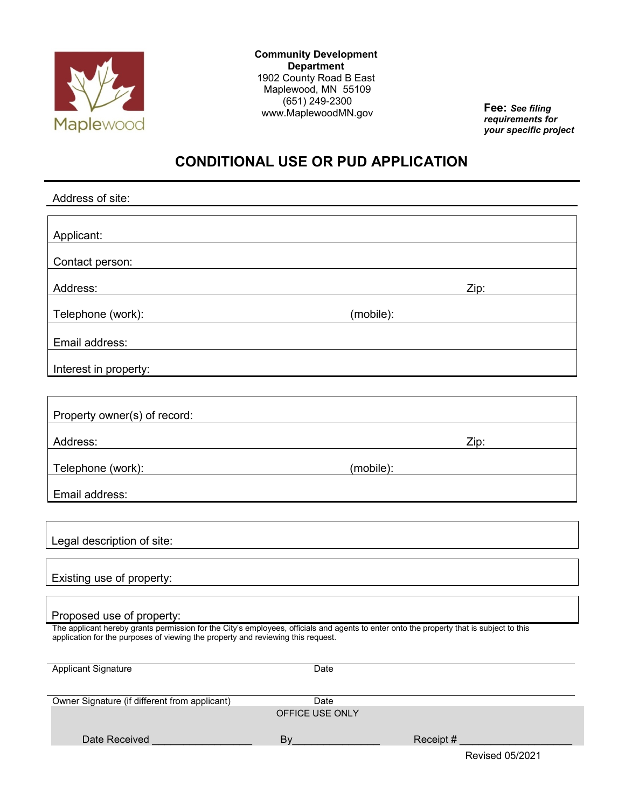

**Community Development Department** 1902 County Road B East Maplewood, MN 55109 (651) 249-2300 www.MaplewoodMN.gov **Fee:** *See filing*

*requirements for your specific project*

# **CONDITIONAL USE OR PUD APPLICATION**

| Address of site:                                                                                                                                                                                                             |                 |           |
|------------------------------------------------------------------------------------------------------------------------------------------------------------------------------------------------------------------------------|-----------------|-----------|
|                                                                                                                                                                                                                              |                 |           |
| Applicant:<br><u> 1980 - Andrea Andrew Maria (h. 1980).</u><br>1901 - Andrew Maria (h. 1902).                                                                                                                                |                 |           |
| Contact person:                                                                                                                                                                                                              |                 |           |
| Address:                                                                                                                                                                                                                     |                 | Zip:      |
|                                                                                                                                                                                                                              |                 |           |
| Telephone (work):                                                                                                                                                                                                            | (mobile):       |           |
| Email address:                                                                                                                                                                                                               |                 |           |
| Interest in property:<br><u> Andreas Andreas Andreas Andreas Andreas Andreas Andreas Andreas Andreas Andreas Andreas Andreas Andreas Andr</u>                                                                                |                 |           |
|                                                                                                                                                                                                                              |                 |           |
| Property owner(s) of record:                                                                                                                                                                                                 |                 |           |
|                                                                                                                                                                                                                              |                 |           |
| Address:<br><u> 1989 - Johann Stoff, deutscher Stoffen und der Stoffen und der Stoffen und der Stoffen und der Stoffen und der</u>                                                                                           |                 |           |
| Telephone (work): www.adview.com/www.adview.com/www.adview.com/                                                                                                                                                              |                 | (mobile): |
| Email address:                                                                                                                                                                                                               |                 |           |
|                                                                                                                                                                                                                              |                 |           |
| Legal description of site:                                                                                                                                                                                                   |                 |           |
|                                                                                                                                                                                                                              |                 |           |
| Existing use of property:                                                                                                                                                                                                    |                 |           |
|                                                                                                                                                                                                                              |                 |           |
| Proposed use of property:                                                                                                                                                                                                    |                 |           |
| The applicant hereby grants permission for the City's employees, officials and agents to enter onto the property that is subject to this<br>application for the purposes of viewing the property and reviewing this request. |                 |           |
|                                                                                                                                                                                                                              |                 |           |
| <b>Applicant Signature</b>                                                                                                                                                                                                   | Date            |           |
| Owner Signature (if different from applicant)                                                                                                                                                                                | Date            |           |
|                                                                                                                                                                                                                              | OFFICE USE ONLY |           |
| Date Received                                                                                                                                                                                                                | By              | Receipt # |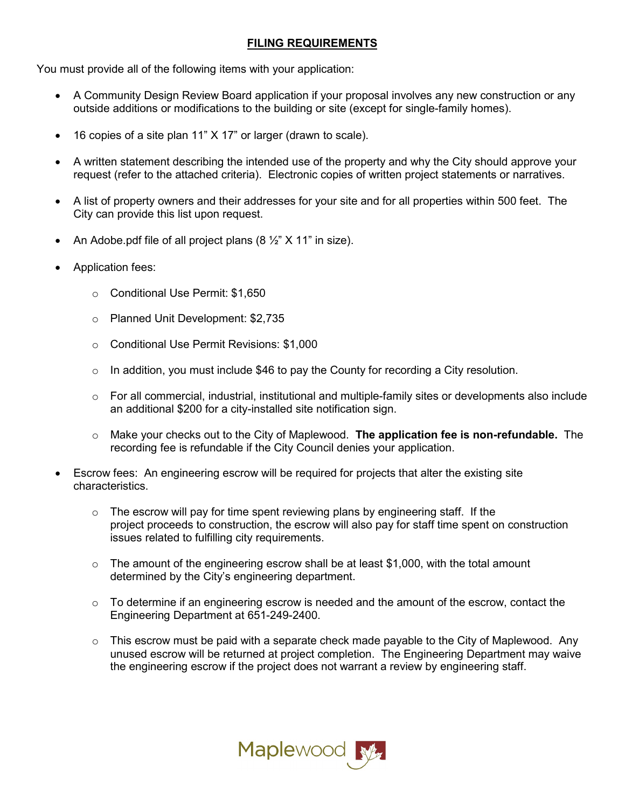## **FILING REQUIREMENTS**

You must provide all of the following items with your application:

- A Community Design Review Board application if your proposal involves any new construction or any outside additions or modifications to the building or site (except for single-family homes).
- 16 copies of a site plan 11" X 17" or larger (drawn to scale).
- A written statement describing the intended use of the property and why the City should approve your request (refer to the attached criteria). Electronic copies of written project statements or narratives.
- A list of property owners and their addresses for your site and for all properties within 500 feet. The City can provide this list upon request.
- An Adobe.pdf file of all project plans  $(8 \frac{1}{2} \times 11 \text{ m} \text{ size})$ .
- Application fees:
	- o Conditional Use Permit: \$1,650
	- o Planned Unit Development: \$2,735
	- o Conditional Use Permit Revisions: \$1,000
	- $\circ$  In addition, you must include \$46 to pay the County for recording a City resolution.
	- $\circ$  For all commercial, industrial, institutional and multiple-family sites or developments also include an additional \$200 for a city-installed site notification sign.
	- o Make your checks out to the City of Maplewood. **The application fee is non-refundable.** The recording fee is refundable if the City Council denies your application.
- Escrow fees: An engineering escrow will be required for projects that alter the existing site characteristics.
	- $\circ$  The escrow will pay for time spent reviewing plans by engineering staff. If the project proceeds to construction, the escrow will also pay for staff time spent on construction issues related to fulfilling city requirements.
	- $\circ$  The amount of the engineering escrow shall be at least \$1,000, with the total amount determined by the City's engineering department.
	- $\circ$  To determine if an engineering escrow is needed and the amount of the escrow, contact the Engineering Department at 651-249-2400.
	- $\circ$  This escrow must be paid with a separate check made payable to the City of Maplewood. Any unused escrow will be returned at project completion. The Engineering Department may waive the engineering escrow if the project does not warrant a review by engineering staff.

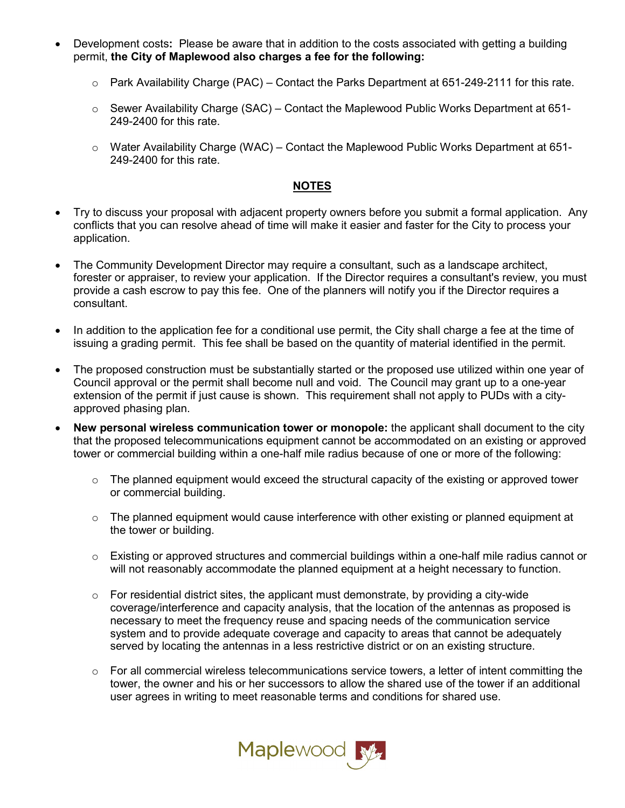- Development costs**:** Please be aware that in addition to the costs associated with getting a building permit, **the City of Maplewood also charges a fee for the following:**
	- $\circ$  Park Availability Charge (PAC) Contact the Parks Department at 651-249-2111 for this rate.
	- $\circ$  Sewer Availability Charge (SAC) Contact the Maplewood Public Works Department at 651-249-2400 for this rate.
	- o Water Availability Charge (WAC) Contact the Maplewood Public Works Department at 651- 249-2400 for this rate.

#### **NOTES**

- Try to discuss your proposal with adjacent property owners before you submit a formal application. Any conflicts that you can resolve ahead of time will make it easier and faster for the City to process your application.
- The Community Development Director may require a consultant, such as a landscape architect, forester or appraiser, to review your application. If the Director requires a consultant's review, you must provide a cash escrow to pay this fee. One of the planners will notify you if the Director requires a consultant.
- In addition to the application fee for a conditional use permit, the City shall charge a fee at the time of issuing a grading permit. This fee shall be based on the quantity of material identified in the permit.
- The proposed construction must be substantially started or the proposed use utilized within one year of Council approval or the permit shall become null and void. The Council may grant up to a one-year extension of the permit if just cause is shown. This requirement shall not apply to PUDs with a cityapproved phasing plan.
- **New personal wireless communication tower or monopole:** the applicant shall document to the city that the proposed telecommunications equipment cannot be accommodated on an existing or approved tower or commercial building within a one-half mile radius because of one or more of the following:
	- $\circ$  The planned equipment would exceed the structural capacity of the existing or approved tower or commercial building.
	- $\circ$  The planned equipment would cause interference with other existing or planned equipment at the tower or building.
	- o Existing or approved structures and commercial buildings within a one-half mile radius cannot or will not reasonably accommodate the planned equipment at a height necessary to function.
	- $\circ$  For residential district sites, the applicant must demonstrate, by providing a city-wide coverage/interference and capacity analysis, that the location of the antennas as proposed is necessary to meet the frequency reuse and spacing needs of the communication service system and to provide adequate coverage and capacity to areas that cannot be adequately served by locating the antennas in a less restrictive district or on an existing structure.
	- $\circ$  For all commercial wireless telecommunications service towers, a letter of intent committing the tower, the owner and his or her successors to allow the shared use of the tower if an additional user agrees in writing to meet reasonable terms and conditions for shared use.

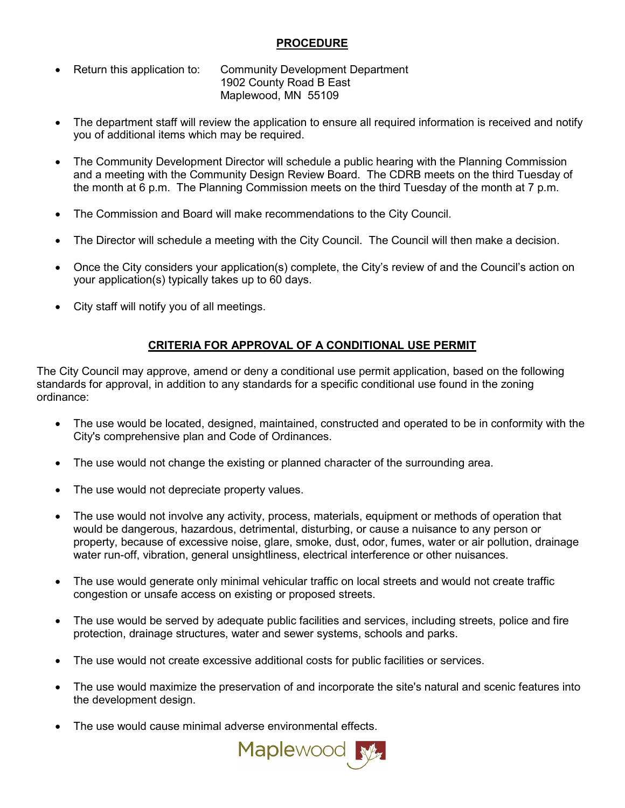## **PROCEDURE**

- Return this application to: Community Development Department 1902 County Road B East Maplewood, MN 55109
- The department staff will review the application to ensure all required information is received and notify you of additional items which may be required.
- The Community Development Director will schedule a public hearing with the Planning Commission and a meeting with the Community Design Review Board. The CDRB meets on the third Tuesday of the month at 6 p.m. The Planning Commission meets on the third Tuesday of the month at 7 p.m.
- The Commission and Board will make recommendations to the City Council.
- The Director will schedule a meeting with the City Council. The Council will then make a decision.
- Once the City considers your application(s) complete, the City's review of and the Council's action on your application(s) typically takes up to 60 days.
- City staff will notify you of all meetings.

## **CRITERIA FOR APPROVAL OF A CONDITIONAL USE PERMIT**

The City Council may approve, amend or deny a conditional use permit application, based on the following standards for approval, in addition to any standards for a specific conditional use found in the zoning ordinance:

- The use would be located, designed, maintained, constructed and operated to be in conformity with the City's comprehensive plan and Code of Ordinances.
- The use would not change the existing or planned character of the surrounding area.
- The use would not depreciate property values.
- The use would not involve any activity, process, materials, equipment or methods of operation that would be dangerous, hazardous, detrimental, disturbing, or cause a nuisance to any person or property, because of excessive noise, glare, smoke, dust, odor, fumes, water or air pollution, drainage water run-off, vibration, general unsightliness, electrical interference or other nuisances.
- The use would generate only minimal vehicular traffic on local streets and would not create traffic congestion or unsafe access on existing or proposed streets.
- The use would be served by adequate public facilities and services, including streets, police and fire protection, drainage structures, water and sewer systems, schools and parks.
- The use would not create excessive additional costs for public facilities or services.
- The use would maximize the preservation of and incorporate the site's natural and scenic features into the development design.
- The use would cause minimal adverse environmental effects.